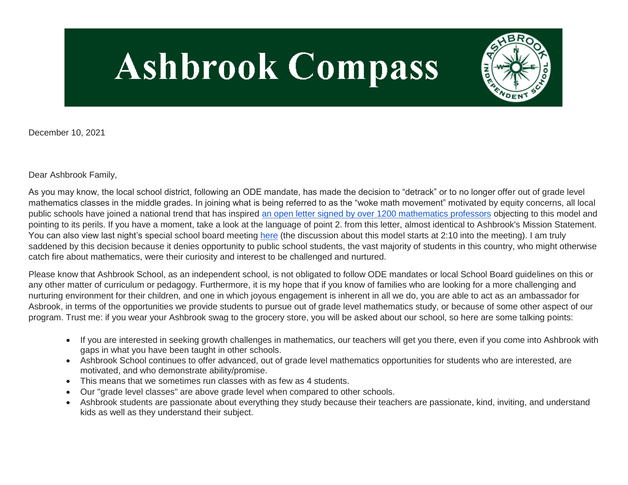# **Ashbrook Compass**



December 10, 2021

Dear Ashbrook Family,

As you may know, the local school district, following an ODE mandate, has made the decision to "detrack" or to no longer offer out of grade level mathematics classes in the middle grades. In joining what is being referred to as the "woke math movement" motivated by equity concerns, all local public schools have joined a national trend that has inspired [an open letter signed by over 1200 mathematics professors](http://link.mystudentsprogress.com/ls/click?upn=n71O4y4PYd0YM2sDUoIvMVhJvVUODa12aadf3RCcPAhvy-2BUjrnGtlF5w3cUvL37rObA3uAwQDxBsd3lr2Dv9Nw-3D-3DYgAd_1PndbFfBoQGSZbxwXHHEexw3B2F0fG-2BUmuXm6a-2BX-2BztVfmMB1ROfaM-2FtK6KAtrR8oaR0lashgkaOPb-2FwqTYYZ2XGynYApMJ37KddScryQHTXY2yBtneW-2BwJWNLEYpaIw6Gy9GG9LVEF8CtcruNC7F2iV-2BN8ssFn-2BIUevuJ-2FR3YyEJU7QTnrNHERjydw9oAi48j1zzlB6c6japFV5cR7wrLCMRxcYwJ8jkIISJJxLWdKgUPBYcKm3qMCnZ52Rqs0KHDMRHMy9-2Ft0offrX4ZMMS6lremwNPqVix2ADDUnGCA4sYljDg4NmmT5YTatmlReLUC9unqzXi3oHKhjQ1YhobOrTUYPxpYZRQx9aEq58gxaIqwthamU3MJDS1r39qRMnow6oVNeKzNKOACrhpJO51HRU7jH8VQc-2BGIJ0H5EPLrn-2BRVmdFg-2FnseFIv6k2xdc2) objecting to this model and pointing to its perils. If you have a moment, take a look at the language of point 2. from this letter, almost identical to Ashbrook's Mission Statement. You can also view last night's special school board meeting [here](http://link.mystudentsprogress.com/ls/click?upn=5XDbAd9r0ovG7GZusFBG8HStKVD1-2FQVyT-2FYJOxHpN9-2BgesBfXmXtspYZ5Q1YIfN-2BCVHLrAJ0fM1UWZ-2FRIKAP9A-3D-3DW-Nm_1PndbFfBoQGSZbxwXHHEexw3B2F0fG-2BUmuXm6a-2BX-2BztVfmMB1ROfaM-2FtK6KAtrR8oaR0lashgkaOPb-2FwqTYYZ2tNQzL9JYjzCNJSeCzJmpklOT16IrGap59txSFN5BLFmeXWxoyR-2FGDSYfdTNHCcopGov08bsHroI8OBWVfXXUiU8G2GGYbK88GdcoWFhUM6c9HYfHui-2Fed-2FZR0xjjXSFqyMTSODiZJKp3-2FrQSAE43Bhvstz4s6YFhUzmh8qPeotQk0OOsMVOu3pbIsUATYx1iDRdBp7kO8uqI-2FC9Jjer35zN6GqEKWA-2BbxT6V-2BYByGhiZrn7kTFha4oH4KXLZww8Gd-2FlI-2FjAKIJ1fNdTxh2pxxQozx9GfKkV6il-2FhvIe6I6gOImRyZfMfpERS-2FbcTaawojJZgkcbVR9EPA8CFwua3LnMNJb44vvq5fMtVBV6-2FSY) (the discussion about this model starts at 2:10 into the meeting). I am truly saddened by this decision because it denies opportunity to public school students, the vast majority of students in this country, who might otherwise catch fire about mathematics, were their curiosity and interest to be challenged and nurtured.

Please know that Ashbrook School, as an independent school, is not obligated to follow ODE mandates or local School Board guidelines on this or any other matter of curriculum or pedagogy. Furthermore, it is my hope that if you know of families who are looking for a more challenging and nurturing environment for their children, and one in which joyous engagement is inherent in all we do, you are able to act as an ambassador for Asbrook, in terms of the opportunities we provide students to pursue out of grade level mathematics study, or because of some other aspect of our program. Trust me: if you wear your Ashbrook swag to the grocery store, you will be asked about our school, so here are some talking points:

- If you are interested in seeking growth challenges in mathematics, our teachers will get you there, even if you come into Ashbrook with gaps in what you have been taught in other schools.
- Ashbrook School continues to offer advanced, out of grade level mathematics opportunities for students who are interested, are motivated, and who demonstrate ability/promise.
- This means that we sometimes run classes with as few as 4 students.
- Our "grade level classes" are above grade level when compared to other schools.
- Ashbrook students are passionate about everything they study because their teachers are passionate, kind, inviting, and understand kids as well as they understand their subject.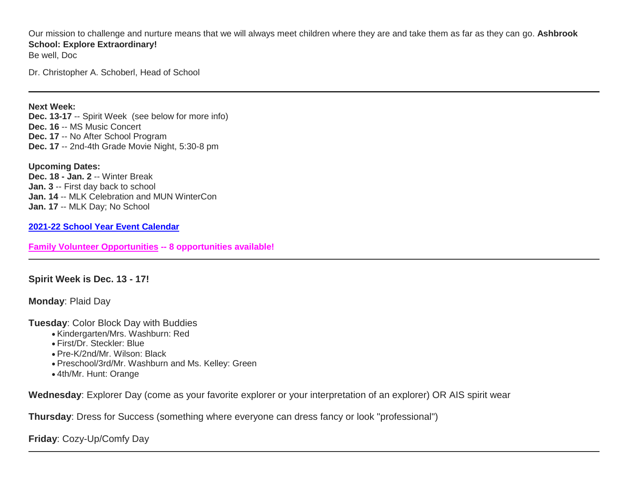Our mission to challenge and nurture means that we will always meet children where they are and take them as far as they can go. **Ashbrook School: Explore Extraordinary!**

Be well, Doc

Dr. Christopher A. Schoberl, Head of School

#### **Next Week:**

**Dec. 13-17** -- Spirit Week (see below for more info) **Dec. 16** -- MS Music Concert **Dec. 17** -- No After School Program **Dec. 17** -- 2nd-4th Grade Movie Night, 5:30-8 pm

**Upcoming Dates: Dec. 18 - Jan. 2** -- Winter Break **Jan. 3** -- First day back to school **Jan. 14** -- MLK Celebration and MUN WinterCon **Jan. 17** -- MLK Day; No School

**[2021-22 School Year Event Calendar](http://link.mystudentsprogress.com/ls/click?upn=n7jYKe39nC4PrVAw2BzaOolgU5XUleaJ61qfvNJxTW3uoi8RFzNYUfSc1qXdqajA34djZWrxIBJBxzp2whbybvqIYp3dDOkCDgKesziBdCm1u7J5UB6bwQicng-2BhFj8jm5vDG0tBEB0sO-2FO3RXilW8Csk5oOSfGUUXvh5WSdqhuxZmYzYNrapCD6i2aW2bQASNhb_1PndbFfBoQGSZbxwXHHEexw3B2F0fG-2BUmuXm6a-2BX-2BztVfmMB1ROfaM-2FtK6KAtrR8oaR0lashgkaOPb-2FwqTYYZ01gIl-2BfDWXsa4U-2FpzpieJ5e0CL5UyxYGcAz2El63R3DRVYQkfPwr8lNNURkrGXbspwlyRaOC60KfaD-2BdlkjcHflZCuoHDV0SLXuGidP6i2ZFDhkcA6CZlUwGwSymWuKR7MxMiActmOsjDTUzXi9stFwMoe9GgdZBGULoI9LBqV6knRB8s7jYz75XTNrtqGFdXaEafhF1N2x9ZUM4MOzoI1uhvjokQRF8Z16ZWr2twK7GpAY-2BVXDu8X6FJnKO-2B3x6OZV6BlxBtOdNJwZ8wHiFA-2B5HR4DbG1ppLCDujrrT13lyBWGmuCFm3cQsKC9aySmXaAWk4wH7ZL04I5vLVhldGB-2FZE6qr4MDjGhvEialxRzE)**

**[Family Volunteer Opportunities](http://link.mystudentsprogress.com/ls/click?upn=VpBe6Z9t6RkEC4qAoQCerkRqVNRJCi4SE2bZPjoSvlxSlLFpfnUYhuutAutUGnBh84nj-2BJvhJlx1K1dJMDDqBY1qLZ1O0nCcHebienBZj-2BKxsXBin-2FugM50Q-2FqN8cLG3Urd1ZQzGcMWtkFleXRzacA-3D-3DObyw_1PndbFfBoQGSZbxwXHHEexw3B2F0fG-2BUmuXm6a-2BX-2BztVfmMB1ROfaM-2FtK6KAtrR8oaR0lashgkaOPb-2FwqTYYZ4hrXTHBdlL5Zjf7m6ry-2Fi1ipMa8jgxC3nwhQAEyw5QNUWEby0qvMOwgQQXIGfHK4Zx5Le-2Bn4a40I-2B3InZTM4hvNcSTjrB7694-2Fxws-2FJtum-2BGFbveprfDtgQKgx1KekSCEtOMV2Z5Q8s4m-2BjhagceMge0lIfyY4MPdN3MXv9TAyhgD3b7-2B7UHcRsZcyf564rg13-2FpCfbwp3L4zZkUB-2BWIXZcqLoQQkcILRhK23eEUN4hwr5fM2Owov-2FKPH7SNiNEHaWUasXR0s3oHpYvXllV5gNaneuUGy3vexd1VONHEBp230c7VLvDiTwmwrjf3QoTUPNkcmK-2BIZFPXLP5I0-2BC33ScRaAy69H62nOC4YiJcV3Z) -- 8 opportunities available!**

#### **Spirit Week is Dec. 13 - 17!**

**Monday**: Plaid Day

**Tuesday**: Color Block Day with Buddies

- Kindergarten/Mrs. Washburn: Red
- First/Dr. Steckler: Blue
- Pre-K/2nd/Mr. Wilson: Black
- Preschool/3rd/Mr. Washburn and Ms. Kelley: Green
- 4th/Mr. Hunt: Orange

**Wednesday**: Explorer Day (come as your favorite explorer or your interpretation of an explorer) OR AIS spirit wear

**Thursday**: Dress for Success (something where everyone can dress fancy or look "professional")

**Friday**: Cozy-Up/Comfy Day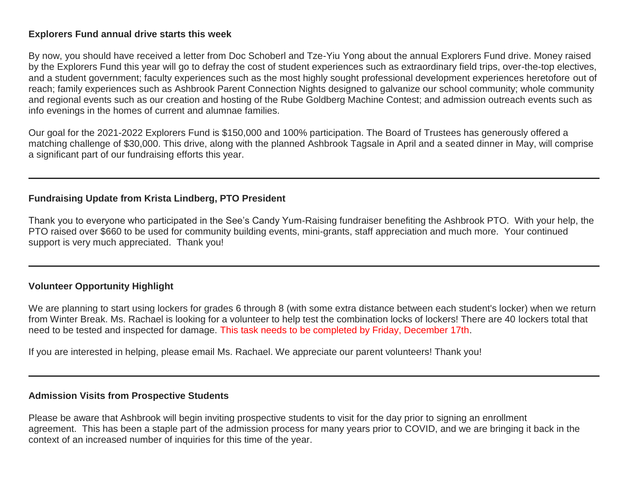### **Explorers Fund annual drive starts this week**

By now, you should have received a letter from Doc Schoberl and Tze-Yiu Yong about the annual Explorers Fund drive. Money raised by the Explorers Fund this year will go to defray the cost of student experiences such as extraordinary field trips, over-the-top electives, and a student government; faculty experiences such as the most highly sought professional development experiences heretofore out of reach; family experiences such as Ashbrook Parent Connection Nights designed to galvanize our school community; whole community and regional events such as our creation and hosting of the Rube Goldberg Machine Contest; and admission outreach events such as info evenings in the homes of current and alumnae families.

Our goal for the 2021-2022 Explorers Fund is \$150,000 and 100% participation. The Board of Trustees has generously offered a matching challenge of \$30,000. This drive, along with the planned Ashbrook Tagsale in April and a seated dinner in May, will comprise a significant part of our fundraising efforts this year.

# **Fundraising Update from Krista Lindberg, PTO President**

Thank you to everyone who participated in the See's Candy Yum-Raising fundraiser benefiting the Ashbrook PTO. With your help, the PTO raised over \$660 to be used for community building events, mini-grants, staff appreciation and much more. Your continued support is very much appreciated. Thank you!

# **Volunteer Opportunity Highlight**

We are planning to start using lockers for grades 6 through 8 (with some extra distance between each student's locker) when we return from Winter Break. Ms. Rachael is looking for a volunteer to help test the combination locks of lockers! There are 40 lockers total that need to be tested and inspected for damage. This task needs to be completed by Friday, December 17th.

If you are interested in helping, please email Ms. Rachael. We appreciate our parent volunteers! Thank you!

# **Admission Visits from Prospective Students**

Please be aware that Ashbrook will begin inviting prospective students to visit for the day prior to signing an enrollment agreement. This has been a staple part of the admission process for many years prior to COVID, and we are bringing it back in the context of an increased number of inquiries for this time of the year.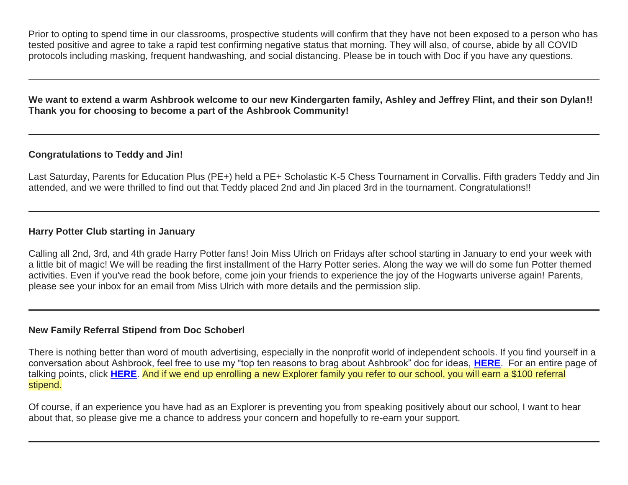Prior to opting to spend time in our classrooms, prospective students will confirm that they have not been exposed to a person who has tested positive and agree to take a rapid test confirming negative status that morning. They will also, of course, abide by all COVID protocols including masking, frequent handwashing, and social distancing. Please be in touch with Doc if you have any questions.

**We want to extend a warm Ashbrook welcome to our new Kindergarten family, Ashley and Jeffrey Flint, and their son Dylan!! Thank you for choosing to become a part of the Ashbrook Community!**

# **Congratulations to Teddy and Jin!**

Last Saturday, Parents for Education Plus (PE+) held a PE+ Scholastic K-5 Chess Tournament in Corvallis. Fifth graders Teddy and Jin attended, and we were thrilled to find out that Teddy placed 2nd and Jin placed 3rd in the tournament. Congratulations!!

# **Harry Potter Club starting in January**

Calling all 2nd, 3rd, and 4th grade Harry Potter fans! Join Miss Ulrich on Fridays after school starting in January to end your week with a little bit of magic! We will be reading the first installment of the Harry Potter series. Along the way we will do some fun Potter themed activities. Even if you've read the book before, come join your friends to experience the joy of the Hogwarts universe again! Parents, please see your inbox for an email from Miss Ulrich with more details and the permission slip.

# **New Family Referral Stipend from Doc Schoberl**

There is nothing better than word of mouth advertising, especially in the nonprofit world of independent schools. If you find yourself in a conversation about Ashbrook, feel free to use my "top ten reasons to brag about Ashbrook" doc for ideas, **[HERE](http://link.mystudentsprogress.com/ls/click?upn=VpBe6Z9t6RkEC4qAoQCerkRqVNRJCi4SE2bZPjoSvlzTD0HI4Wti75FiopqkUUnEHqyjk8EB-2BsYSiQl4fDp8a0EWPa1j0yn6mNZfRzpxhbSrmGj6LD1FwSisuTwGu-2Fwq6VQeo5agxOVsFvioURa8Wg-3D-3D3b1I_1PndbFfBoQGSZbxwXHHEexw3B2F0fG-2BUmuXm6a-2BX-2BztVfmMB1ROfaM-2FtK6KAtrR8oaR0lashgkaOPb-2FwqTYYZ1zDj9f-2FdStbTBrwGpBnA4WZiXRc7J3oG3vNQ93-2BO7o8LBIHZYY3EScrlKOcP2sgMrSAfiuRXqv8Ggad6XMNcJVPDrJfV-2BdyyhQOMC8gXkf8cY7zFmIMouzPTSivRC9kPGcaePCwPnpsxYBHxzJgDgshMIG0iSbj8GDxVoelBpTW0lWC7mIicOBHhW2C7EADfu0nGLD-2FL9xSGl9xF-2FlboJamN2kL5xHa5lcRxpuwZx5ftUjyz4X5y7GR1rnh3SbZW1bltEAiDUohaFI-2BYYc3fs9IIB4DGwUiYoqXJXPvfrNz1ngpKUosNxXln9eacLKmlwNoZeHzT8R5Bo9PlMrPVth46cMgjmM-2FWsMlFFNhH0qs)**. For an entire page of talking points, click **[HERE](http://link.mystudentsprogress.com/ls/click?upn=5XDbAd9r0ovG7GZusFBG8PaUF78UqItDelTGdwk7Y5aI0AQ7ne-2BYf2H4YyMzLhGUX-2FGYxGJExWtpPr6nbMOVow-2BiS67IvrekF9bZ0IggZm29EWV24lJ88b9PysKunnHk_cSl_1PndbFfBoQGSZbxwXHHEexw3B2F0fG-2BUmuXm6a-2BX-2BztVfmMB1ROfaM-2FtK6KAtrR8oaR0lashgkaOPb-2FwqTYYZwRTq2ciWCoktLUDFMFmN6Ay58grNN3zoN-2FNtv-2BCkweCuTRceqau5pyZ0hrwNIopWwTcki7Nghf0qXW1UcIDiqQGsAP-2Fn1sfnOdGeFs4YKvlXFVrx-2FH9nE45CP2VdLKjpoOWTll-2B1GLxRpsWmMemW8kDGlq0FE5i3tb0GparJnrDLrUa7VXLLN8hI6sdL-2BVvFgQbaOpc1ygBD6nyiEKQcHsN5MURlLEYT-2BasMFDqgfa7f70WB4sChcrM2-2FTPXJz4bEMm4dS6fKAjNIm4PyLd-2BtQSjT-2BaOii-2FuiQQACtHwTG1U3IccOLa1KrlDfGHIjVxkpGDnyNj5kdBlaa6LD6sWxd3KcGSdtt9r9c7l3JLS2q7)**. And if we end up enrolling a new Explorer family you refer to our school, you will earn a \$100 referral stipend.

Of course, if an experience you have had as an Explorer is preventing you from speaking positively about our school, I want to hear about that, so please give me a chance to address your concern and hopefully to re-earn your support.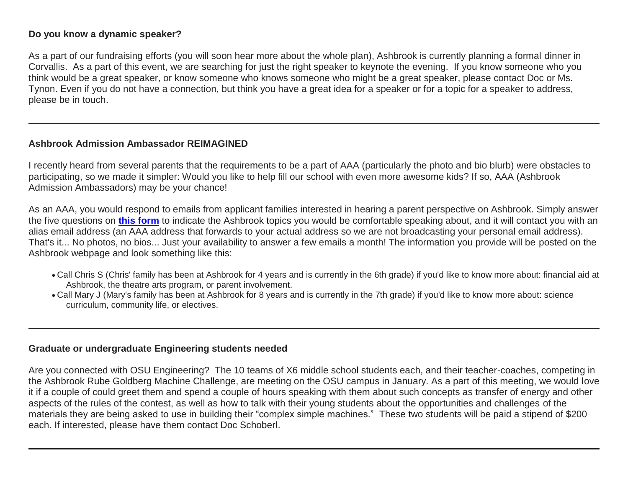### **Do you know a dynamic speaker?**

As a part of our fundraising efforts (you will soon hear more about the whole plan), Ashbrook is currently planning a formal dinner in Corvallis. As a part of this event, we are searching for just the right speaker to keynote the evening. If you know someone who you think would be a great speaker, or know someone who knows someone who might be a great speaker, please contact Doc or Ms. Tynon. Even if you do not have a connection, but think you have a great idea for a speaker or for a topic for a speaker to address, please be in touch.

### **Ashbrook Admission Ambassador REIMAGINED**

I recently heard from several parents that the requirements to be a part of AAA (particularly the photo and bio blurb) were obstacles to participating, so we made it simpler: Would you like to help fill our school with even more awesome kids? If so, AAA (Ashbrook Admission Ambassadors) may be your chance!

As an AAA, you would respond to emails from applicant families interested in hearing a parent perspective on Ashbrook. Simply answer the five questions on **[this form](http://link.mystudentsprogress.com/ls/click?upn=VpBe6Z9t6RkEC4qAoQCeri-2FFFh7llDqKppeMq4GAyjRWQxckQw26M-2Bv6Io9sYjjztysyr9qdkCpcPmqHoLjd2MXtcEqeW7PJSns1CovOF2gGUtyv8gD2Ta7W5hc8ucfVjGlz-2FkDfboGz4LGm5VzHMg-3D-3Dw8ci_1PndbFfBoQGSZbxwXHHEexw3B2F0fG-2BUmuXm6a-2BX-2BztVfmMB1ROfaM-2FtK6KAtrR8oaR0lashgkaOPb-2FwqTYYZwdKTJfskthsn2dglde03hIZvM-2B7GukXPUYmp5v3-2BJgUJ9Put5-2ByOCEzLq9PJDt3eZsZxhtN-2BAocmO5fNVVa7wvenHHF8TFS9Z9Cp54JiKy1p6CmHI3r1DMLV9KEEdHN1zTWLBixc5itqoKSepFWLQJ3aavSCHo-2F86z3MJX-2FwNlAgVRsEWjWpmo1aGAY0cWwLwox1C0-2Buhs19L4NXGBQ-2FJOxoNWl-2Ft8ZGGQD-2BzVknjSjufNsxtVsPFaSouZmuaMyatrPLny8PrnIxLgbm9zj-2B235mv4RRrbDWPDfYJ-2BNT7QhOrZQlInYPgLNWCZRjTL0Rh265OwghQ-2FxIuZxIR4-2BjxReaOGVLugDria6lGPUnfk-2F)** to indicate the Ashbrook topics you would be comfortable speaking about, and it will contact you with an alias email address (an AAA address that forwards to your actual address so we are not broadcasting your personal email address). That's it... No photos, no bios... Just your availability to answer a few emails a month! The information you provide will be posted on the Ashbrook webpage and look something like this:

- Call Chris S (Chris' family has been at Ashbrook for 4 years and is currently in the 6th grade) if you'd like to know more about: financial aid at Ashbrook, the theatre arts program, or parent involvement.
- Call Mary J (Mary's family has been at Ashbrook for 8 years and is currently in the 7th grade) if you'd like to know more about: science curriculum, community life, or electives.

#### **Graduate or undergraduate Engineering students needed**

Are you connected with OSU Engineering? The 10 teams of X6 middle school students each, and their teacher-coaches, competing in the Ashbrook Rube Goldberg Machine Challenge, are meeting on the OSU campus in January. As a part of this meeting, we would love it if a couple of could greet them and spend a couple of hours speaking with them about such concepts as transfer of energy and other aspects of the rules of the contest, as well as how to talk with their young students about the opportunities and challenges of the materials they are being asked to use in building their "complex simple machines." These two students will be paid a stipend of \$200 each. If interested, please have them contact Doc Schoberl.